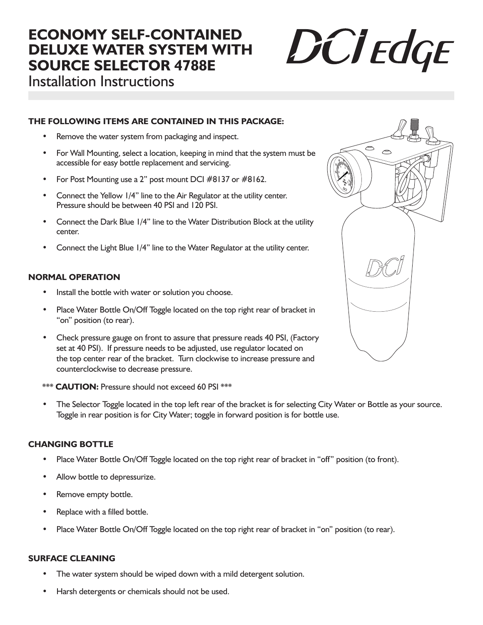# **ECONOMY SELF-CONTAINED DELUXE WATER SYSTEM WITH SOURCE SELECTOR 4788E**



Installation Instructions

#### **THE FOLLOWING ITEMS ARE CONTAINED IN THIS PACKAGE:**

- Remove the water system from packaging and inspect.
- For Wall Mounting, select a location, keeping in mind that the system must be accessible for easy bottle replacement and servicing.
- For Post Mounting use a 2" post mount DCI #8137 or #8162.
- Connect the Yellow 1/4" line to the Air Regulator at the utility center. Pressure should be between 40 PSI and 120 PSI.
- Connect the Dark Blue 1/4" line to the Water Distribution Block at the utility center.
- Connect the Light Blue 1/4" line to the Water Regulator at the utility center.

### **NORMAL OPERATION**

- Install the bottle with water or solution you choose.
- Place Water Bottle On/Off Toggle located on the top right rear of bracket in "on" position (to rear).
- Check pressure gauge on front to assure that pressure reads 40 PSI, (Factory set at 40 PSI). If pressure needs to be adjusted, use regulator located on the top center rear of the bracket. Turn clockwise to increase pressure and counterclockwise to decrease pressure.
- \*\*\* **CAUTION:** Pressure should not exceed 60 PSI \*\*\*
- The Selector Toggle located in the top left rear of the bracket is for selecting City Water or Bottle as your source. Toggle in rear position is for City Water; toggle in forward position is for bottle use.

#### **CHANGING BOTTLE**

- Place Water Bottle On/Off Toggle located on the top right rear of bracket in "off" position (to front).
- Allow bottle to depressurize.
- Remove empty bottle.
- Replace with a filled bottle.
- Place Water Bottle On/Off Toggle located on the top right rear of bracket in "on" position (to rear).

#### **SURFACE CLEANING**

- The water system should be wiped down with a mild detergent solution.
- Harsh detergents or chemicals should not be used.